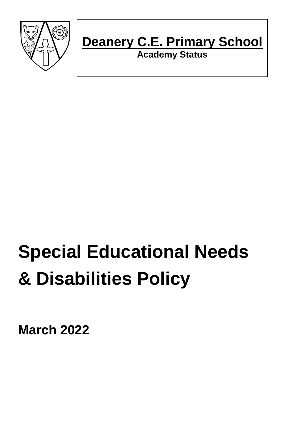

## **Deanery C.E. Primary School**

**Academy Status**

# **Special Educational Needs & Disabilities Policy**

**March 2022**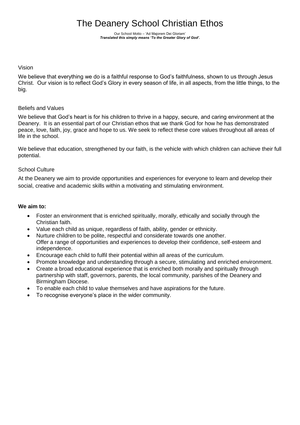### The Deanery School Christian Ethos

Our School Motto – 'Ad Majorem Dei Gloriam' *Translated this simply means 'To the Greater Glory of God'.*

#### Vision

We believe that everything we do is a faithful response to God's faithfulness, shown to us through Jesus Christ. Our vision is to reflect God's Glory in every season of life, in all aspects, from the little things, to the big.

#### Beliefs and Values

We believe that God's heart is for his children to thrive in a happy, secure, and caring environment at the Deanery. It is an essential part of our Christian ethos that we thank God for how he has demonstrated peace, love, faith, joy, grace and hope to us. We seek to reflect these core values throughout all areas of life in the school.

We believe that education, strengthened by our faith, is the vehicle with which children can achieve their full potential.

#### School Culture

At the Deanery we aim to provide opportunities and experiences for everyone to learn and develop their social, creative and academic skills within a motivating and stimulating environment.

#### **We aim to:**

- Foster an environment that is enriched spiritually, morally, ethically and socially through the Christian faith.
- Value each child as unique, regardless of faith, ability, gender or ethnicity.
- Nurture children to be polite, respectful and considerate towards one another. Offer a range of opportunities and experiences to develop their confidence, self-esteem and independence.
- Encourage each child to fulfil their potential within all areas of the curriculum.
- Promote knowledge and understanding through a secure, stimulating and enriched environment.
- Create a broad educational experience that is enriched both morally and spiritually through partnership with staff, governors, parents, the local community, parishes of the Deanery and Birmingham Diocese.
- To enable each child to value themselves and have aspirations for the future.
- To recognise everyone's place in the wider community.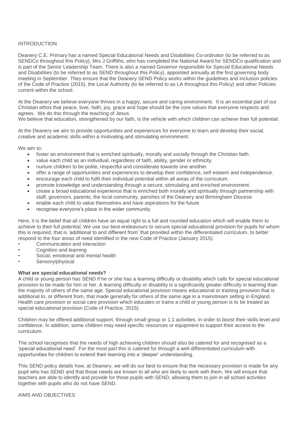#### INTRODUCTION

Deanery C.E. Primary has a named Special Educational Needs and Disabilities Co-ordinator (to be referred to as SENDCo throughout this Policy), Mrs J Griffiths, who has completed the National Award for SENDCo qualification and is part of the Senior Leadership Team. There is also a named Governor responsible for Special Educational Needs and Disabilities (to be referred to as SEND throughout this Policy), appointed annually at the first governing body meeting in September. They ensure that the Deanery SEND Policy works within the guidelines and inclusion policies of the Code of Practice (2015), the Local Authority (to be referred to as LA throughout this Policy) and other Policies current within the school.

At the Deanery we believe everyone thrives in a happy, secure and caring environment. It is an essential part of our Christian ethos that peace, love, faith, joy, grace and hope should be the core values that everyone respects and agrees. We do this through the teaching of Jesus.

We believe that education, strengthened by our faith, is the vehicle with which children can achieve their full potential.

At the Deanery we aim to provide opportunities and experiences for everyone to learn and develop their social, creative and academic skills within a motivating and stimulating environment.

We aim to:

- foster an environment that is enriched spiritually, morally and socially through the Christian faith.
- value each child as an individual, regardless of faith, ability, gender or ethnicity.
- nurture children to be polite, respectful and considerate towards one another.
- offer a range of opportunities and experiences to develop their confidence, self esteem and independence.
- encourage each child to fulfil their individual potential within all areas of the curriculum.
- promote knowledge and understanding through a secure, stimulating and enriched environment.
- create a broad educational experience that is enriched both morally and spiritually through partnership with staff, governors, parents, the local community, parishes of the Deanery and Birmingham Diocese.
- enable each child to value themselves and have aspirations for the future.
- recognise everyone's place in the wider community.

Here, it is the belief that all children have an equal right to a full and rounded education which will enable them to achieve to their full potential. We use our best endeavours to secure special educational provision for pupils for whom this is required, that is 'additional to and different from' that provided within the differentiated curriculum, to better respond to the four areas of need identified in the new Code of Practice (January 2015):

- Communication and interaction
- Cognition and learning
- Social, emotional and mental health
- Sensory/physical

#### **What are special educational needs?**

A child or young person has SEND if he or she has a learning difficulty or disability which calls for special educational provision to be made for him or her. A learning difficulty or disability is a significantly greater difficulty in learning than the majority of others of the same age. Special educational provision means educational or training provision that is additional to, or different from, that made generally for others of the same age in a mainstream setting in England. Health care provision or social care provision which educates or trains a child or young person is to be treated as special educational provision (Code of Practice, 2015).

Children may be offered additional support, through small group or 1:1 activities, in order to boost their skills level and confidence. In addition, some children may need specific resources or equipment to support their access to the curriculum.

The school recognises that the needs of high achieving children should also be catered for and recognised as a 'special educational need'. For the most part this is catered for through a well differentiated curriculum with opportunities for children to extend their learning into a 'deeper' understanding.

This SEND policy details how, at Deanery, we will do our best to ensure that the necessary provision is made for any pupil who has SEND and that those needs are known to all who are likely to work with them. We will ensure that teachers are able to identify and provide for those pupils with SEND, allowing them to join in all school activities together with pupils who do not have SEND.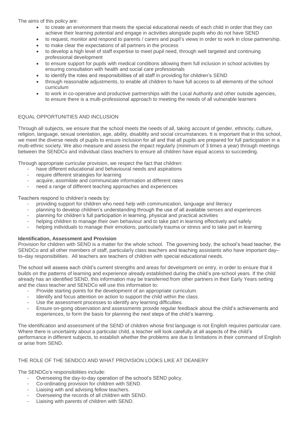The aims of this policy are:

- to create an environment that meets the special educational needs of each child in order that they can achieve their learning potential and engage in activities alongside pupils who do not have SEND
- to request, monitor and respond to parents / carers and pupil's views in order to work in close partnership.
- to make clear the expectations of all partners in the process
- to develop a high level of staff expertise to meet pupil need, through well targeted and continuing professional development
- to ensure support for pupils with medical conditions allowing them full inclusion in school activities by ensuring consultation with health and social care professionals
	- to identify the roles and responsibilities of all staff in providing for children's SEND
- through reasonable adjustments, to enable all children to have full access to all elements of the school curriculum
- to work in co-operative and productive partnerships with the Local Authority and other outside agencies, to ensure there is a multi-professional approach to meeting the needs of all vulnerable learners

#### EQUAL OPPORTUNITIES AND INCLUSION

Through all subjects, we ensure that the school meets the needs of all, taking account of gender, ethnicity, culture, religion, language, sexual orientation, age, ability, disability and social circumstances. It is important that in this school, we meet the diverse needs of pupils to ensure inclusion for all and that all pupils are prepared for full participation in a multi-ethnic society. We also measure and assess the impact regularly (minimum of 3 times a year) through meetings between the SENDCo and individual class teachers to ensure all children have equal access to succeeding.

Through appropriate curricular provision, we respect the fact that children:

- have different educational and behavioural needs and aspirations
- require different strategies for learning
- acquire, assimilate and communicate information at different rates
- need a range of different teaching approaches and experiences

Teachers respond to children's needs by:

- providing support for children who need help with communication, language and literacy
- planning to develop children's understanding through the use of all available senses and experiences
- planning for children's full participation in learning, physical and practical activities
- helping children to manage their own behaviour and to take part in learning effectively and safely
- helping individuals to manage their emotions, particularly trauma or stress and to take part in learning

#### **Identification, Assessment and Provision**

Provision for children with SEND is a matter for the whole school. The governing body, the school's head teacher, the SENDCo and all other members of staff, particularly class teachers and teaching assistants who have important day– to–day responsibilities. All teachers are teachers of children with special educational needs.

The school will assess each child's current strengths and areas for development on entry, in order to ensure that it builds on the patterns of learning and experience already established during the child's pre-school years. If the child already has an identified SEND, this information may be transferred from other partners in their Early Years setting and the class teacher and SENDCo will use this information to:

- Provide starting points for the development of an appropriate curriculum.
- Identify and focus attention on action to support the child within the class.
- Use the assessment processes to identify any learning difficulties.
- Ensure on-going observation and assessments provide regular feedback about the child's achievements and experiences, to form the basis for planning the next steps of the child's learning.

The identification and assessment of the SEND of children whose first language is not English requires particular care. Where there is uncertainty about a particular child, a teacher will look carefully at all aspects of the child's performance in different subjects, to establish whether the problems are due to limitations in their command of English or arise from SEND.

#### THE ROLE OF THE SENDCO AND WHAT PROVISION LOOKS LIKE AT DEANERY

The SENDCo's responsibilities include:

- Overseeing the day-to-day operation of the school's SEND policy.
- Co-ordinating provision for children with SEND.
- Liaising with and advising fellow teachers.
- Overseeing the records of all children with SEND.
- Liaising with parents of children with SEND.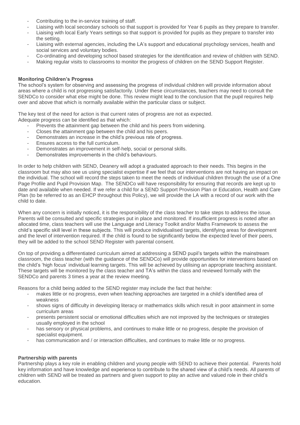- Contributing to the in-service training of staff.
- Liaising with local secondary schools so that support is provided for Year 6 pupils as they prepare to transfer.
- Liaising with local Early Years settings so that support is provided for pupils as they prepare to transfer into the setting.
- Liaising with external agencies, including the LA's support and educational psychology services, health and social services and voluntary bodies.
- Co-ordinating and developing school based strategies for the identification and review of children with SEND.
- Making regular visits to classrooms to monitor the progress of children on the SEND Support Register.

#### **Monitoring Children's Progress**

The school's system for observing and assessing the progress of individual children will provide information about areas where a child is not progressing satisfactorily. Under these circumstances, teachers may need to consult the SENDCo to consider what else might be done. This review might lead to the conclusion that the pupil requires help over and above that which is normally available within the particular class or subject.

The key test of the need for action is that current rates of progress are not as expected. Adequate progress can be identified as that which:

- Prevents the attainment gap between the child and his peers from widening.
- Closes the attainment gap between the child and his peers.
- Demonstrates an increase in the child's previous rate of progress.
- Ensures access to the full curriculum.
- Demonstrates an improvement in self-help, social or personal skills.
- Demonstrates improvements in the child's behaviours.

In order to help children with SEND, Deanery will adopt a graduated approach to their needs. This begins in the classroom but may also see us using specialist expertise if we feel that our interventions are not having an impact on the individual. The school will record the steps taken to meet the needs of individual children through the use of a One Page Profile and Pupil Provision Map. The SENDCo will have responsibility for ensuring that records are kept up to date and available when needed. If we refer a child for a SEND Support Provision Plan or Education, Health and Care Plan (to be referred to as an EHCP throughout this Policy), we will provide the LA with a record of our work with the child to date.

When any concern is initially noticed, it is the responsibility of the class teacher to take steps to address the issue. Parents will be consulted and specific strategies put in place and monitored. If insufficient progress is noted after an allocated time, class teachers will use the Language and Literacy Toolkit and/or Maths Framework to assess the child's specific skill level in these subjects. This will produce individualised targets, identifying areas for development and the level of intervention required. If the child is found to be significantly below the expected level of their peers, they will be added to the school SEND Register with parental consent.

On top of providing a differentiated curriculum aimed at addressing a SEND pupil's targets within the mainstream classroom, the class teacher (with the guidance of the SENDCo) will provide opportunities for interventions based on the child's 'high focus' individual learning targets. This will be achieved by utilising an appropriate teaching assistant. These targets will be monitored by the class teacher and TA's within the class and reviewed formally with the SENDCo and parents 3 times a year at the review meeting.

Reasons for a child being added to the SEND register may include the fact that he/she:

- makes little or no progress, even when teaching approaches are targeted in a child's identified area of weakness
- shows signs of difficulty in developing literacy or mathematics skills which result in poor attainment in some curriculum areas
- presents persistent social or emotional difficulties which are not improved by the techniques or strategies usually employed in the school
- has sensory or physical problems, and continues to make little or no progress, despite the provision of specialist equipment.
- has communication and / or interaction difficulties, and continues to make little or no progress.

#### **Partnership with parents**

Partnership plays a key role in enabling children and young people with SEND to achieve their potential. Parents hold key information and have knowledge and experience to contribute to the shared view of a child's needs. All parents of children with SEND will be treated as partners and given support to play an active and valued role in their child's education.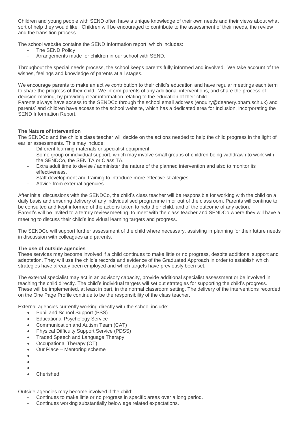Children and young people with SEND often have a unique knowledge of their own needs and their views about what sort of help they would like. Children will be encouraged to contribute to the assessment of their needs, the review and the transition process.

The school website contains the SEND Information report, which includes:

- The SEND Policy
- Arrangements made for children in our school with SEND.

Throughout the special needs process, the school keeps parents fully informed and involved. We take account of the wishes, feelings and knowledge of parents at all stages.

We encourage parents to make an active contribution to their child's education and have regular meetings each term to share the progress of their child. We inform parents of any additional interventions, and share the process of decision-making, by providing clear information relating to the education of their child.

Parents always have access to the SENDCo through the school email address (enquiry@deanery.bham.sch.uk) and parents' and children have access to the school website, which has a dedicated area for Inclusion, incorporating the SEND Information Report.

#### **The Nature of Intervention**

The SENDCo and the child's class teacher will decide on the actions needed to help the child progress in the light of earlier assessments. This may include:

- Different learning materials or specialist equipment.
- Some group or individual support, which may involve small groups of children being withdrawn to work with the SENDCo, the SEN TA or Class TA.
- Extra adult time to devise / administer the nature of the planned intervention and also to monitor its effectiveness.
- Staff development and training to introduce more effective strategies.
- Advice from external agencies.

After initial discussions with the SENDCo, the child's class teacher will be responsible for working with the child on a daily basis and ensuring delivery of any individualised programme in or out of the classroom. Parents will continue to be consulted and kept informed of the actions taken to help their child, and of the outcome of any action. Parent's will be invited to a termly review meeting, to meet with the class teacher and SENDCo where they will have a meeting to discuss their child's individual learning targets and progress.

The SENDCo will support further assessment of the child where necessary, assisting in planning for their future needs in discussion with colleagues and parents.

#### **The use of outside agencies**

These services may become involved if a child continues to make little or no progress, despite additional support and adaptation. They will use the child's records and evidence of the Graduated Approach in order to establish which strategies have already been employed and which targets have previously been set.

The external specialist may act in an advisory capacity, provide additional specialist assessment or be involved in teaching the child directly. The child's individual targets will set out strategies for supporting the child's progress. These will be implemented, at least in part, in the normal classroom setting. The delivery of the interventions recorded on the One Page Profile continue to be the responsibility of the class teacher.

External agencies currently working directly with the school include;

- Pupil and School Support (PSS)
- Educational Psychology Service
- Communication and Autism Team (CAT)
- Physical Difficulty Support Service (PDSS)
- Traded Speech and Language Therapy
- Occupational Therapy (OT)
- Our Place Mentoring scheme
- $\bullet$
- $\bullet$
- $\bullet$
- Cherished

Outside agencies may become involved if the child:

- Continues to make little or no progress in specific areas over a long period.
- Continues working substantially below age related expectations.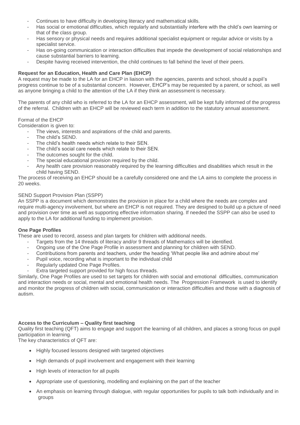- Continues to have difficulty in developing literacy and mathematical skills.
- Has social or emotional difficulties, which regularly and substantially interfere with the child's own learning or that of the class group.
- Has sensory or physical needs and requires additional specialist equipment or regular advice or visits by a specialist service.
- Has on-going communication or interaction difficulties that impede the development of social relationships and cause substantial barriers to learning.
- Despite having received intervention, the child continues to fall behind the level of their peers.

#### **Request for an Education, Health and Care Plan (EHCP)**

A request may be made to the LA for an EHCP in liaison with the agencies, parents and school, should a pupil's progress continue to be of a substantial concern. However, EHCP's may be requested by a parent, or school, as well as anyone bringing a child to the attention of the LA if they think an assessment is necessary.

The parents of any child who is referred to the LA for an EHCP assessment, will be kept fully informed of the progress of the referral. Children with an EHCP will be reviewed each term in addition to the statutory annual assessment.

#### Format of the EHCP

Consideration is given to:

- The views, interests and aspirations of the child and parents.
- The child's SEND.
- The child's health needs which relate to their SEN.
- The child's social care needs which relate to their SEN.
- The outcomes sought for the child.
- The special educational provision required by the child.
- Any health care provision reasonably required by the learning difficulties and disabilities which result in the child having SEND.

The process of receiving an EHCP should be a carefully considered one and the LA aims to complete the process in 20 weeks.

#### SEND Support Provision Plan (SSPP)

An SSPP is a document which demonstrates the provision in place for a child where the needs are complex and require multi-agency involvement, but where an EHCP is not required. They are designed to build up a picture of need and provision over time as well as supporting effective information sharing. If needed the SSPP can also be used to apply to the LA for additional funding to implement provision.

#### **One Page Profiles**

These are used to record, assess and plan targets for children with additional needs.

- Targets from the 14 threads of literacy and/or 9 threads of Mathematics will be identified.
- Ongoing use of the One Page Profile in assessment and planning for children with SEND.
- Contributions from parents and teachers, under the heading 'What people like and admire about me'
- Pupil voice, recording what is important to the individual child
- Regularly updated One Page Profiles.
- Extra targeted support provided for high focus threads.

Similarly, One Page Profiles are used to set targets for children with social and emotional difficulties, communication and interaction needs or social, mental and emotional health needs. The Progression Framework is used to identify and monitor the progress of children with social, communication or interaction difficulties and those with a diagnosis of autism.

#### **Access to the Curriculum – Quality first teaching**

Quality first teaching (QFT) aims to engage and support the learning of all children, and places a strong focus on pupil participation in learning.

The key characteristics of QFT are:

- Highly focused lessons designed with targeted objectives
- High demands of pupil involvement and engagement with their learning
- High levels of interaction for all pupils
- Appropriate use of questioning, modelling and explaining on the part of the teacher
- An emphasis on learning through dialogue, with regular opportunities for pupils to talk both individually and in groups